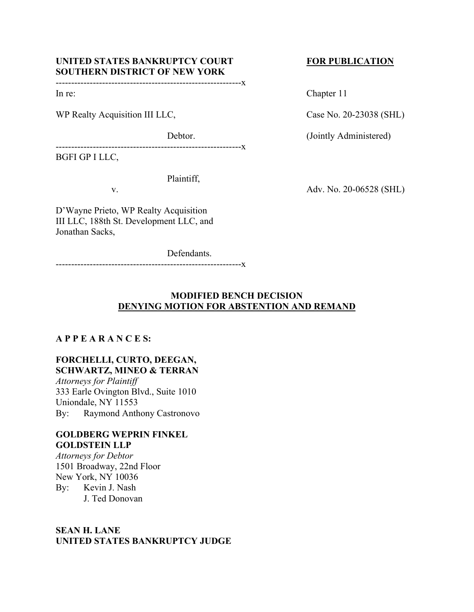# UNITED STATES BANKRUPTCY COURT FOR PUBLICATION **SOUTHERN DISTRICT OF NEW YORK**

------------------------------------------------------------x

WP Realty Acquisition III LLC, Case No. 20-23038 (SHL)

------------------------------------------------------------x

BGFI GP I LLC,

Plaintiff,

D'Wayne Prieto, WP Realty Acquisition III LLC, 188th St. Development LLC, and Jonathan Sacks,

Defendants.

------------------------------------------------------------x

In re: Chapter 11

Debtor. (Jointly Administered)

v. **Adv. No. 20-06528 (SHL)** 

# **MODIFIED BENCH DECISION DENYING MOTION FOR ABSTENTION AND REMAND**

# **A P P E A R A N C E S:**

# **FORCHELLI, CURTO, DEEGAN, SCHWARTZ, MINEO & TERRAN**

*Attorneys for Plaintiff* 333 Earle Ovington Blvd., Suite 1010 Uniondale, NY 11553 By: Raymond Anthony Castronovo

## **GOLDBERG WEPRIN FINKEL GOLDSTEIN LLP**

*Attorneys for Debtor* 1501 Broadway, 22nd Floor New York, NY 10036 By: Kevin J. Nash J. Ted Donovan

# **SEAN H. LANE UNITED STATES BANKRUPTCY JUDGE**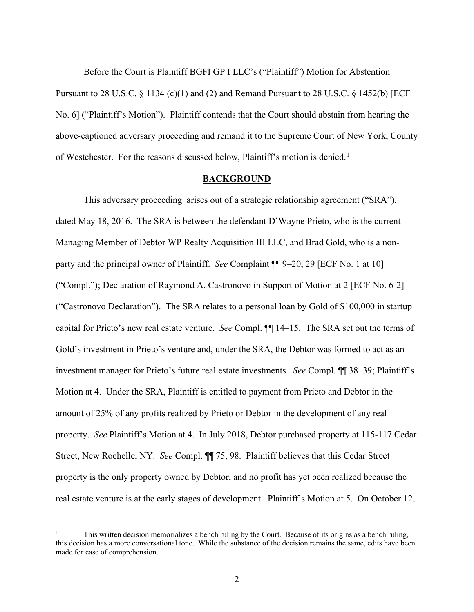Before the Court is Plaintiff BGFI GP I LLC's ("Plaintiff") Motion for Abstention Pursuant to 28 U.S.C. § 1134 (c)(1) and (2) and Remand Pursuant to 28 U.S.C. § 1452(b) [ECF No. 6] ("Plaintiff's Motion"). Plaintiff contends that the Court should abstain from hearing the above-captioned adversary proceeding and remand it to the Supreme Court of New York, County of Westchester. For the reasons discussed below, Plaintiff's motion is denied.<sup>[1](#page-1-0)</sup>

## **BACKGROUND**

This adversary proceeding arises out of a strategic relationship agreement ("SRA"), dated May 18, 2016. The SRA is between the defendant D'Wayne Prieto, who is the current Managing Member of Debtor WP Realty Acquisition III LLC, and Brad Gold, who is a nonparty and the principal owner of Plaintiff. *See* Complaint ¶¶ 9–20, 29 [ECF No. 1 at 10] ("Compl."); Declaration of Raymond A. Castronovo in Support of Motion at 2 [ECF No. 6-2] ("Castronovo Declaration"). The SRA relates to a personal loan by Gold of \$100,000 in startup capital for Prieto's new real estate venture. *See* Compl. ¶¶ 14–15. The SRA set out the terms of Gold's investment in Prieto's venture and, under the SRA, the Debtor was formed to act as an investment manager for Prieto's future real estate investments. *See* Compl. ¶¶ 38–39; Plaintiff's Motion at 4. Under the SRA, Plaintiff is entitled to payment from Prieto and Debtor in the amount of 25% of any profits realized by Prieto or Debtor in the development of any real property. *See* Plaintiff's Motion at 4. In July 2018, Debtor purchased property at 115-117 Cedar Street, New Rochelle, NY. *See* Compl. ¶¶ 75, 98. Plaintiff believes that this Cedar Street property is the only property owned by Debtor, and no profit has yet been realized because the real estate venture is at the early stages of development. Plaintiff's Motion at 5. On October 12,

<span id="page-1-0"></span><sup>1</sup> This written decision memorializes a bench ruling by the Court. Because of its origins as a bench ruling, this decision has a more conversational tone. While the substance of the decision remains the same, edits have been made for ease of comprehension.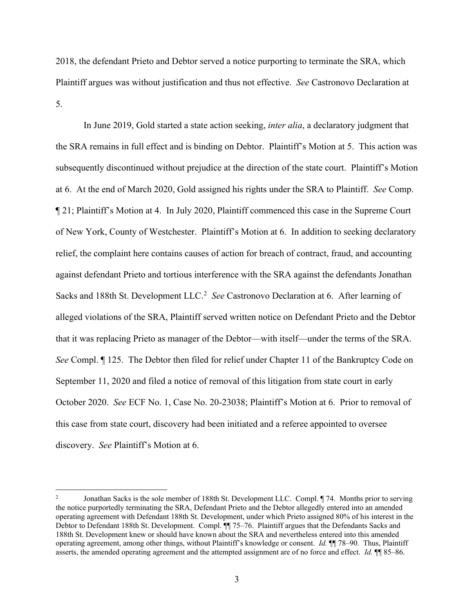2018, the defendant Prieto and Debtor served a notice purporting to terminate the SRA, which Plaintiff argues was without justification and thus not effective. *See* Castronovo Declaration at 5.

In June 2019, Gold started a state action seeking, *inter alia*, a declaratory judgment that the SRA remains in full effect and is binding on Debtor. Plaintiff's Motion at 5. This action was subsequently discontinued without prejudice at the direction of the state court. Plaintiff's Motion at 6. At the end of March 2020, Gold assigned his rights under the SRA to Plaintiff. *See* Comp. ¶ 21; Plaintiff's Motion at 4. In July 2020, Plaintiff commenced this case in the Supreme Court of New York, County of Westchester. Plaintiff's Motion at 6. In addition to seeking declaratory relief, the complaint here contains causes of action for breach of contract, fraud, and accounting against defendant Prieto and tortious interference with the SRA against the defendants Jonathan Sacks and 188th St. Development LLC.<sup>[2](#page-2-0)</sup> See Castronovo Declaration at 6. After learning of alleged violations of the SRA, Plaintiff served written notice on Defendant Prieto and the Debtor that it was replacing Prieto as manager of the Debtor—with itself—under the terms of the SRA. *See* Compl. ¶ 125. The Debtor then filed for relief under Chapter 11 of the Bankruptcy Code on September 11, 2020 and filed a notice of removal of this litigation from state court in early October 2020. *See* ECF No. 1, Case No. 20-23038; Plaintiff's Motion at 6. Prior to removal of this case from state court, discovery had been initiated and a referee appointed to oversee discovery. *See* Plaintiff's Motion at 6.

<span id="page-2-0"></span><sup>&</sup>lt;sup>2</sup> Jonathan Sacks is the sole member of 188th St. Development LLC. Compl. ¶ 74. Months prior to serving the notice purportedly terminating the SRA, Defendant Prieto and the Debtor allegedly entered into an amended operating agreement with Defendant 188th St. Development, under which Prieto assigned 80% of his interest in the Debtor to Defendant 188th St. Development. Compl. <sup>1</sup> 75–76. Plaintiff argues that the Defendants Sacks and 188th St. Development knew or should have known about the SRA and nevertheless entered into this amended operating agreement, among other things, without Plaintiff's knowledge or consent. *Id.* ¶¶ 78–90. Thus, Plaintiff asserts, the amended operating agreement and the attempted assignment are of no force and effect. *Id.* ¶¶ 85–86.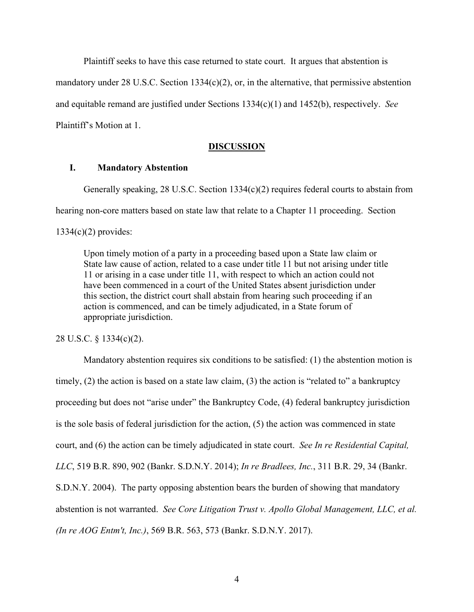Plaintiff seeks to have this case returned to state court. It argues that abstention is mandatory under 28 U.S.C. Section 1334(c)(2), or, in the alternative, that permissive abstention and equitable remand are justified under Sections 1334(c)(1) and 1452(b), respectively. *See* Plaintiff's Motion at 1.

#### **DISCUSSION**

# **I. Mandatory Abstention**

Generally speaking, 28 U.S.C. Section 1334(c)(2) requires federal courts to abstain from hearing non-core matters based on state law that relate to a Chapter 11 proceeding. Section 1334(c)(2) provides:

Upon timely motion of a party in a proceeding based upon a State law claim or State law cause of action, related to a case under title 11 but not arising under title 11 or arising in a case under title 11, with respect to which an action could not have been commenced in a court of the United States absent jurisdiction under this section, the district court shall abstain from hearing such proceeding if an action is commenced, and can be timely adjudicated, in a State forum of appropriate jurisdiction.

28 U.S.C. § 1334(c)(2).

Mandatory abstention requires six conditions to be satisfied: (1) the abstention motion is timely, (2) the action is based on a state law claim, (3) the action is "related to" a bankruptcy proceeding but does not "arise under" the Bankruptcy Code, (4) federal bankruptcy jurisdiction is the sole basis of federal jurisdiction for the action, (5) the action was commenced in state court, and (6) the action can be timely adjudicated in state court. *See In re Residential Capital, LLC*, 519 B.R. 890, 902 (Bankr. S.D.N.Y. 2014); *In re Bradlees, Inc.*, 311 B.R. 29, 34 (Bankr. S.D.N.Y. 2004). The party opposing abstention bears the burden of showing that mandatory abstention is not warranted. *See Core Litigation Trust v. Apollo Global Management, LLC, et al. (In re AOG Entm't, Inc.)*, 569 B.R. 563, 573 (Bankr. S.D.N.Y. 2017).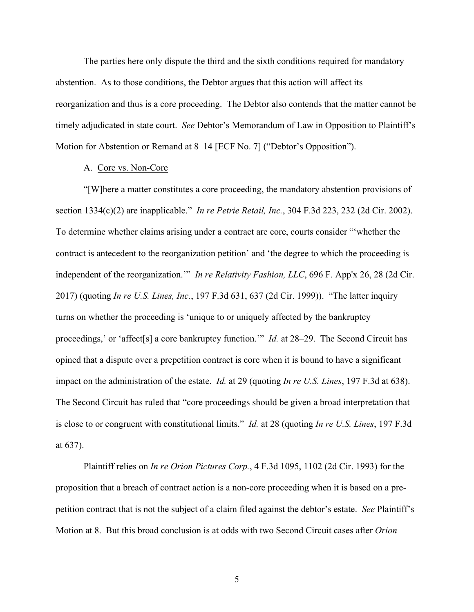The parties here only dispute the third and the sixth conditions required for mandatory abstention. As to those conditions, the Debtor argues that this action will affect its reorganization and thus is a core proceeding. The Debtor also contends that the matter cannot be timely adjudicated in state court. *See* Debtor's Memorandum of Law in Opposition to Plaintiff's Motion for Abstention or Remand at 8–14 [ECF No. 7] ("Debtor's Opposition").

## A. Core vs. Non-Core

"[W]here a matter constitutes a core proceeding, the mandatory abstention provisions of section 1334(c)(2) are inapplicable." *In re Petrie Retail, Inc.*, 304 F.3d 223, 232 (2d Cir. 2002). To determine whether claims arising under a contract are core, courts consider "'whether the contract is antecedent to the reorganization petition' and 'the degree to which the proceeding is independent of the reorganization.'" *In re Relativity Fashion, LLC*, 696 F. App'x 26, 28 (2d Cir. 2017) (quoting *In re U.S. Lines, Inc.*, 197 F.3d 631, 637 (2d Cir. 1999)). "The latter inquiry turns on whether the proceeding is 'unique to or uniquely affected by the bankruptcy proceedings,' or 'affect[s] a core bankruptcy function.'" *Id.* at 28–29. The Second Circuit has opined that a dispute over a prepetition contract is core when it is bound to have a significant impact on the administration of the estate. *Id.* at 29 (quoting *In re U.S. Lines*, 197 F.3d at 638). The Second Circuit has ruled that "core proceedings should be given a broad interpretation that is close to or congruent with constitutional limits." *Id.* at 28 (quoting *In re U.S. Lines*, 197 F.3d at 637).

Plaintiff relies on *In re Orion Pictures Corp.*, 4 F.3d 1095, 1102 (2d Cir. 1993) for the proposition that a breach of contract action is a non-core proceeding when it is based on a prepetition contract that is not the subject of a claim filed against the debtor's estate. *See* Plaintiff's Motion at 8. But this broad conclusion is at odds with two Second Circuit cases after *Orion*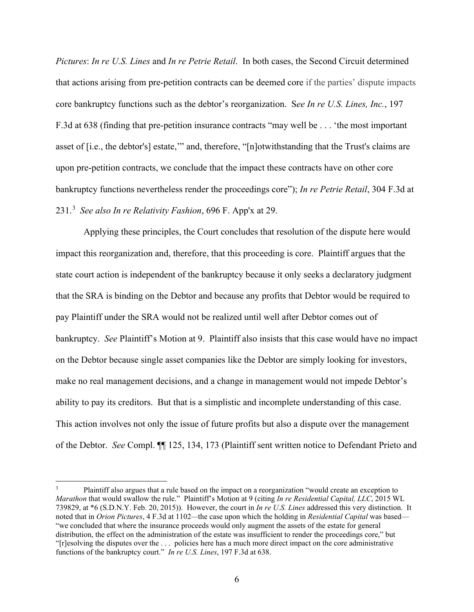*Pictures*: *In re U.S. Lines* and *In re Petrie Retail*. In both cases, the Second Circuit determined that actions arising from pre-petition contracts can be deemed core if the parties' dispute impacts core bankruptcy functions such as the debtor's reorganization. S*ee In re U.S. Lines, Inc.*, 197 F.3d at 638 (finding that pre-petition insurance contracts "may well be . . . 'the most important asset of [i.e., the debtor's] estate,'" and, therefore, "[n]otwithstanding that the Trust's claims are upon pre-petition contracts, we conclude that the impact these contracts have on other core bankruptcy functions nevertheless render the proceedings core"); *In re Petrie Retail*, 304 F.3d at 231. [3](#page-5-0) *See also In re Relativity Fashion*, 696 F. App'x at 29.

Applying these principles, the Court concludes that resolution of the dispute here would impact this reorganization and, therefore, that this proceeding is core. Plaintiff argues that the state court action is independent of the bankruptcy because it only seeks a declaratory judgment that the SRA is binding on the Debtor and because any profits that Debtor would be required to pay Plaintiff under the SRA would not be realized until well after Debtor comes out of bankruptcy. *See* Plaintiff's Motion at 9. Plaintiff also insists that this case would have no impact on the Debtor because single asset companies like the Debtor are simply looking for investors, make no real management decisions, and a change in management would not impede Debtor's ability to pay its creditors. But that is a simplistic and incomplete understanding of this case. This action involves not only the issue of future profits but also a dispute over the management of the Debtor. *See* Compl. ¶¶ 125, 134, 173 (Plaintiff sent written notice to Defendant Prieto and

<span id="page-5-0"></span><sup>3</sup> Plaintiff also argues that a rule based on the impact on a reorganization "would create an exception to *Marathon* that would swallow the rule." Plaintiff's Motion at 9 (citing *In re Residential Capital, LLC*, 2015 WL 739829, at \*6 (S.D.N.Y. Feb. 20, 2015)). However, the court in *In re U.S. Lines* addressed this very distinction. It noted that in *Orion Pictures*, 4 F.3d at 1102*—*the case upon which the holding in *Residential Capital* was based— "we concluded that where the insurance proceeds would only augment the assets of the estate for general distribution, the effect on the administration of the estate was insufficient to render the proceedings core," but "[r]esolving the disputes over the . . . policies here has a much more direct impact on the core administrative functions of the bankruptcy court." *In re U.S. Lines*, 197 F.3d at 638.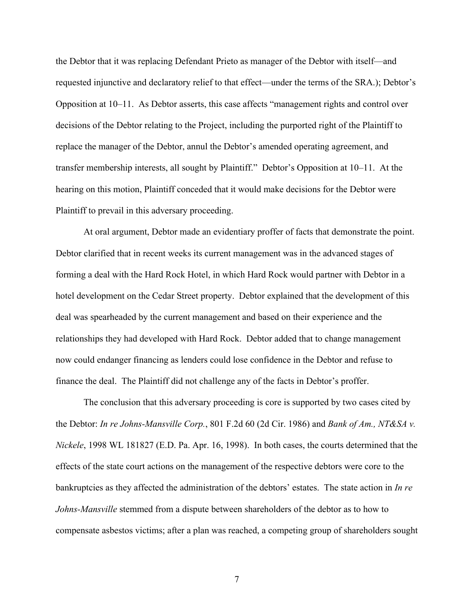the Debtor that it was replacing Defendant Prieto as manager of the Debtor with itself—and requested injunctive and declaratory relief to that effect—under the terms of the SRA.); Debtor's Opposition at 10–11. As Debtor asserts, this case affects "management rights and control over decisions of the Debtor relating to the Project, including the purported right of the Plaintiff to replace the manager of the Debtor, annul the Debtor's amended operating agreement, and transfer membership interests, all sought by Plaintiff." Debtor's Opposition at 10–11. At the hearing on this motion, Plaintiff conceded that it would make decisions for the Debtor were Plaintiff to prevail in this adversary proceeding.

At oral argument, Debtor made an evidentiary proffer of facts that demonstrate the point. Debtor clarified that in recent weeks its current management was in the advanced stages of forming a deal with the Hard Rock Hotel, in which Hard Rock would partner with Debtor in a hotel development on the Cedar Street property. Debtor explained that the development of this deal was spearheaded by the current management and based on their experience and the relationships they had developed with Hard Rock. Debtor added that to change management now could endanger financing as lenders could lose confidence in the Debtor and refuse to finance the deal. The Plaintiff did not challenge any of the facts in Debtor's proffer.

The conclusion that this adversary proceeding is core is supported by two cases cited by the Debtor: *In re Johns-Mansville Corp.*, 801 F.2d 60 (2d Cir. 1986) and *Bank of Am., NT&SA v. Nickele*, 1998 WL 181827 (E.D. Pa. Apr. 16, 1998). In both cases, the courts determined that the effects of the state court actions on the management of the respective debtors were core to the bankruptcies as they affected the administration of the debtors' estates. The state action in *In re Johns-Mansville* stemmed from a dispute between shareholders of the debtor as to how to compensate asbestos victims; after a plan was reached, a competing group of shareholders sought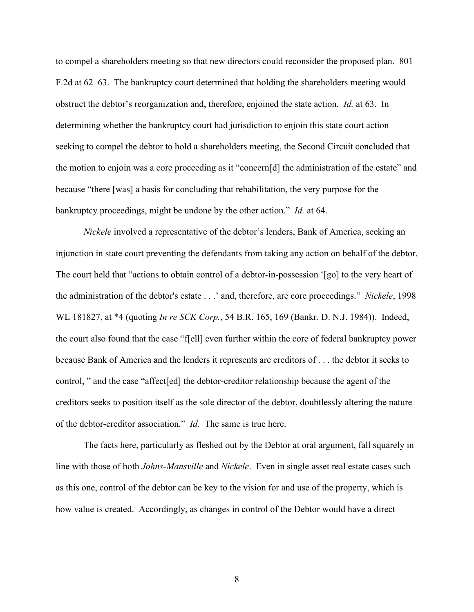to compel a shareholders meeting so that new directors could reconsider the proposed plan. 801 F.2d at 62–63. The bankruptcy court determined that holding the shareholders meeting would obstruct the debtor's reorganization and, therefore, enjoined the state action. *Id.* at 63. In determining whether the bankruptcy court had jurisdiction to enjoin this state court action seeking to compel the debtor to hold a shareholders meeting, the Second Circuit concluded that the motion to enjoin was a core proceeding as it "concern[d] the administration of the estate" and because "there [was] a basis for concluding that rehabilitation, the very purpose for the bankruptcy proceedings, might be undone by the other action." *Id.* at 64.

*Nickele* involved a representative of the debtor's lenders, Bank of America, seeking an injunction in state court preventing the defendants from taking any action on behalf of the debtor. The court held that "actions to obtain control of a debtor-in-possession '[go] to the very heart of the administration of the debtor's estate . . .' and, therefore, are core proceedings." *Nickele*, 1998 WL 181827, at \*4 (quoting *In re SCK Corp.*, 54 B.R. 165, 169 (Bankr. D. N.J. 1984)). Indeed, the court also found that the case "f[ell] even further within the core of federal bankruptcy power because Bank of America and the lenders it represents are creditors of . . . the debtor it seeks to control, " and the case "affect[ed] the debtor-creditor relationship because the agent of the creditors seeks to position itself as the sole director of the debtor, doubtlessly altering the nature of the debtor-creditor association." *Id.* The same is true here.

The facts here, particularly as fleshed out by the Debtor at oral argument, fall squarely in line with those of both *Johns-Mansville* and *Nickele*. Even in single asset real estate cases such as this one, control of the debtor can be key to the vision for and use of the property, which is how value is created. Accordingly, as changes in control of the Debtor would have a direct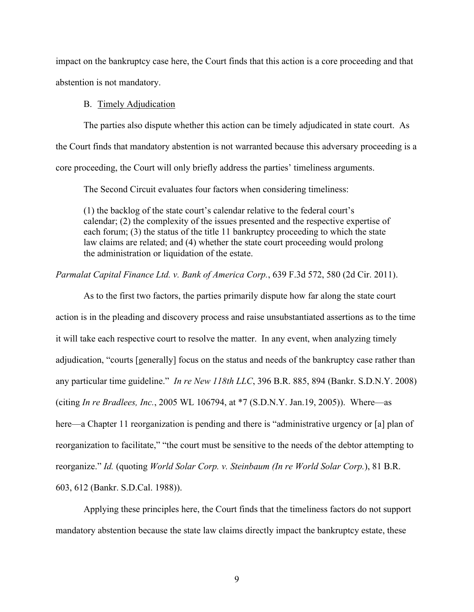impact on the bankruptcy case here, the Court finds that this action is a core proceeding and that abstention is not mandatory.

#### B. Timely Adjudication

The parties also dispute whether this action can be timely adjudicated in state court. As the Court finds that mandatory abstention is not warranted because this adversary proceeding is a core proceeding, the Court will only briefly address the parties' timeliness arguments.

The Second Circuit evaluates four factors when considering timeliness:

(1) the backlog of the state court's calendar relative to the federal court's calendar; (2) the complexity of the issues presented and the respective expertise of each forum; (3) the status of the title 11 bankruptcy proceeding to which the state law claims are related; and (4) whether the state court proceeding would prolong the administration or liquidation of the estate.

### *Parmalat Capital Finance Ltd. v. Bank of America Corp.*, 639 F.3d 572, 580 (2d Cir. 2011).

As to the first two factors, the parties primarily dispute how far along the state court action is in the pleading and discovery process and raise unsubstantiated assertions as to the time it will take each respective court to resolve the matter. In any event, when analyzing timely adjudication, "courts [generally] focus on the status and needs of the bankruptcy case rather than any particular time guideline." *In re New 118th LLC*, 396 B.R. 885, 894 (Bankr. S.D.N.Y. 2008) (citing *In re Bradlees, Inc.*, 2005 WL 106794, at \*7 (S.D.N.Y. Jan.19, 2005)). Where—as here—a Chapter 11 reorganization is pending and there is "administrative urgency or [a] plan of reorganization to facilitate," "the court must be sensitive to the needs of the debtor attempting to reorganize." *Id.* (quoting *World Solar Corp. v. Steinbaum (In re World Solar Corp.*), 81 B.R. 603, 612 (Bankr. S.D.Cal. 1988)).

Applying these principles here, the Court finds that the timeliness factors do not support mandatory abstention because the state law claims directly impact the bankruptcy estate, these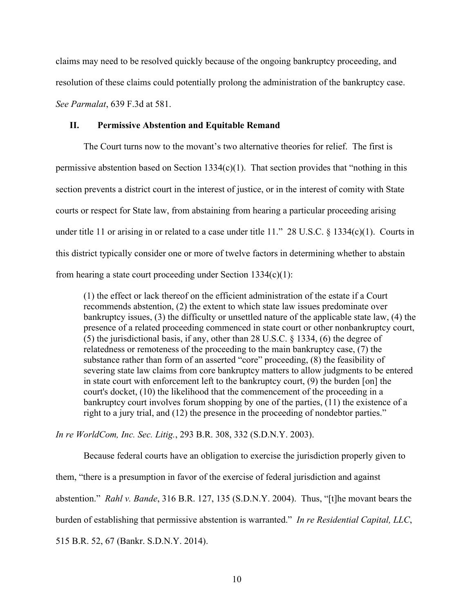claims may need to be resolved quickly because of the ongoing bankruptcy proceeding, and resolution of these claims could potentially prolong the administration of the bankruptcy case. *See Parmalat*, 639 F.3d at 581.

#### **II. Permissive Abstention and Equitable Remand**

The Court turns now to the movant's two alternative theories for relief. The first is permissive abstention based on Section 1334 $(c)(1)$ . That section provides that "nothing in this section prevents a district court in the interest of justice, or in the interest of comity with State courts or respect for State law, from abstaining from hearing a particular proceeding arising under title 11 or arising in or related to a case under title 11." 28 U.S.C. § 1334(c)(1). Courts in this district typically consider one or more of twelve factors in determining whether to abstain from hearing a state court proceeding under Section  $1334(c)(1)$ :

(1) the effect or lack thereof on the efficient administration of the estate if a Court recommends abstention, (2) the extent to which state law issues predominate over bankruptcy issues, (3) the difficulty or unsettled nature of the applicable state law, (4) the presence of a related proceeding commenced in state court or other nonbankruptcy court, (5) the jurisdictional basis, if any, other than 28 U.S.C. § 1334, (6) the degree of relatedness or remoteness of the proceeding to the main bankruptcy case, (7) the substance rather than form of an asserted "core" proceeding, (8) the feasibility of severing state law claims from core bankruptcy matters to allow judgments to be entered in state court with enforcement left to the bankruptcy court, (9) the burden [on] the court's docket, (10) the likelihood that the commencement of the proceeding in a bankruptcy court involves forum shopping by one of the parties, (11) the existence of a right to a jury trial, and (12) the presence in the proceeding of nondebtor parties."

*In re WorldCom, Inc. Sec. Litig.*, 293 B.R. 308, 332 (S.D.N.Y. 2003).

Because federal courts have an obligation to exercise the jurisdiction properly given to them, "there is a presumption in favor of the exercise of federal jurisdiction and against abstention." *Rahl v. Bande*, 316 B.R. 127, 135 (S.D.N.Y. 2004). Thus, "[t]he movant bears the burden of establishing that permissive abstention is warranted." *In re Residential Capital, LLC*, 515 B.R. 52, 67 (Bankr. S.D.N.Y. 2014).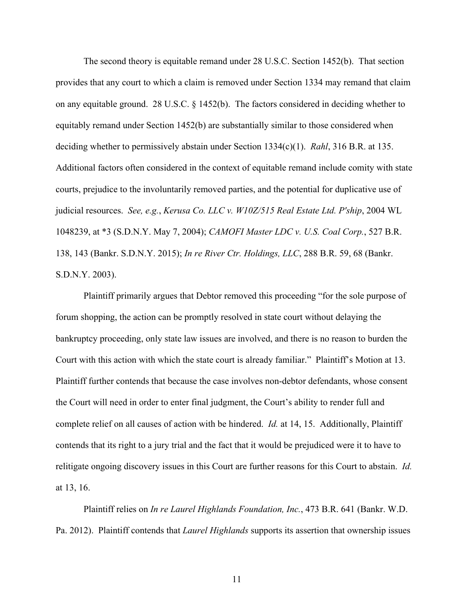The second theory is equitable remand under 28 U.S.C. Section 1452(b). That section provides that any court to which a claim is removed under Section 1334 may remand that claim on any equitable ground. 28 U.S.C. § 1452(b). The factors considered in deciding whether to equitably remand under Section 1452(b) are substantially similar to those considered when deciding whether to permissively abstain under Section 1334(c)(1). *Rahl*, 316 B.R. at 135. Additional factors often considered in the context of equitable remand include comity with state courts, prejudice to the involuntarily removed parties, and the potential for duplicative use of judicial resources. *See, e.g.*, *Kerusa Co. LLC v. W10Z/515 Real Estate Ltd. P'ship*, 2004 WL 1048239, at \*3 (S.D.N.Y. May 7, 2004); *CAMOFI Master LDC v. U.S. Coal Corp.*, 527 B.R. 138, 143 (Bankr. S.D.N.Y. 2015); *In re River Ctr. Holdings, LLC*, 288 B.R. 59, 68 (Bankr. S.D.N.Y. 2003).

Plaintiff primarily argues that Debtor removed this proceeding "for the sole purpose of forum shopping, the action can be promptly resolved in state court without delaying the bankruptcy proceeding, only state law issues are involved, and there is no reason to burden the Court with this action with which the state court is already familiar." Plaintiff's Motion at 13. Plaintiff further contends that because the case involves non-debtor defendants, whose consent the Court will need in order to enter final judgment, the Court's ability to render full and complete relief on all causes of action with be hindered. *Id.* at 14, 15. Additionally, Plaintiff contends that its right to a jury trial and the fact that it would be prejudiced were it to have to relitigate ongoing discovery issues in this Court are further reasons for this Court to abstain. *Id.* at 13, 16.

Plaintiff relies on *In re Laurel Highlands Foundation, Inc.*, 473 B.R. 641 (Bankr. W.D. Pa. 2012). Plaintiff contends that *Laurel Highlands* supports its assertion that ownership issues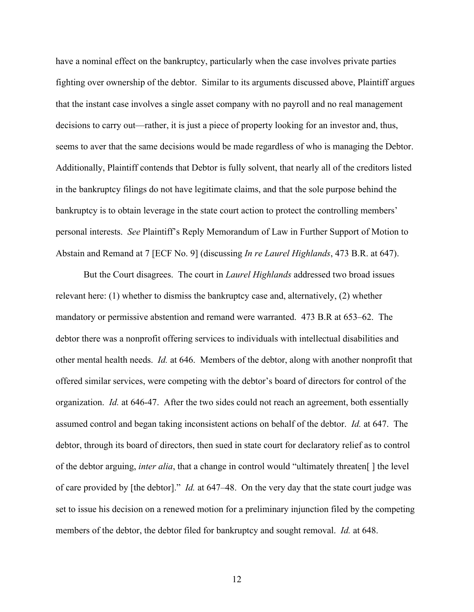have a nominal effect on the bankruptcy, particularly when the case involves private parties fighting over ownership of the debtor. Similar to its arguments discussed above, Plaintiff argues that the instant case involves a single asset company with no payroll and no real management decisions to carry out—rather, it is just a piece of property looking for an investor and, thus, seems to aver that the same decisions would be made regardless of who is managing the Debtor. Additionally, Plaintiff contends that Debtor is fully solvent, that nearly all of the creditors listed in the bankruptcy filings do not have legitimate claims, and that the sole purpose behind the bankruptcy is to obtain leverage in the state court action to protect the controlling members' personal interests. *See* Plaintiff's Reply Memorandum of Law in Further Support of Motion to Abstain and Remand at 7 [ECF No. 9] (discussing *In re Laurel Highlands*, 473 B.R. at 647).

But the Court disagrees. The court in *Laurel Highlands* addressed two broad issues relevant here: (1) whether to dismiss the bankruptcy case and, alternatively, (2) whether mandatory or permissive abstention and remand were warranted. 473 B.R at 653–62. The debtor there was a nonprofit offering services to individuals with intellectual disabilities and other mental health needs. *Id.* at 646. Members of the debtor, along with another nonprofit that offered similar services, were competing with the debtor's board of directors for control of the organization. *Id.* at 646-47. After the two sides could not reach an agreement, both essentially assumed control and began taking inconsistent actions on behalf of the debtor. *Id.* at 647. The debtor, through its board of directors, then sued in state court for declaratory relief as to control of the debtor arguing, *inter alia*, that a change in control would "ultimately threaten[ ] the level of care provided by [the debtor]." *Id.* at 647–48. On the very day that the state court judge was set to issue his decision on a renewed motion for a preliminary injunction filed by the competing members of the debtor, the debtor filed for bankruptcy and sought removal. *Id.* at 648.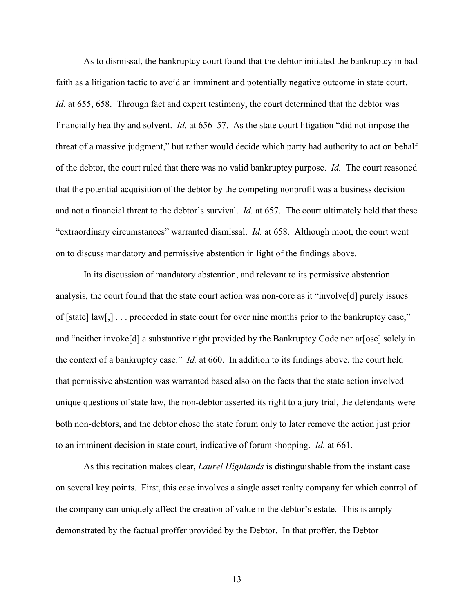As to dismissal, the bankruptcy court found that the debtor initiated the bankruptcy in bad faith as a litigation tactic to avoid an imminent and potentially negative outcome in state court. *Id.* at 655, 658. Through fact and expert testimony, the court determined that the debtor was financially healthy and solvent. *Id.* at 656–57. As the state court litigation "did not impose the threat of a massive judgment," but rather would decide which party had authority to act on behalf of the debtor, the court ruled that there was no valid bankruptcy purpose. *Id.* The court reasoned that the potential acquisition of the debtor by the competing nonprofit was a business decision and not a financial threat to the debtor's survival. *Id.* at 657. The court ultimately held that these "extraordinary circumstances" warranted dismissal. *Id.* at 658. Although moot, the court went on to discuss mandatory and permissive abstention in light of the findings above.

In its discussion of mandatory abstention, and relevant to its permissive abstention analysis, the court found that the state court action was non-core as it "involve[d] purely issues of [state] law[,] . . . proceeded in state court for over nine months prior to the bankruptcy case," and "neither invoke<sup>[d]</sup> a substantive right provided by the Bankruptcy Code nor aralose] solely in the context of a bankruptcy case." *Id.* at 660. In addition to its findings above, the court held that permissive abstention was warranted based also on the facts that the state action involved unique questions of state law, the non-debtor asserted its right to a jury trial, the defendants were both non-debtors, and the debtor chose the state forum only to later remove the action just prior to an imminent decision in state court, indicative of forum shopping. *Id.* at 661.

As this recitation makes clear, *Laurel Highlands* is distinguishable from the instant case on several key points. First, this case involves a single asset realty company for which control of the company can uniquely affect the creation of value in the debtor's estate. This is amply demonstrated by the factual proffer provided by the Debtor. In that proffer, the Debtor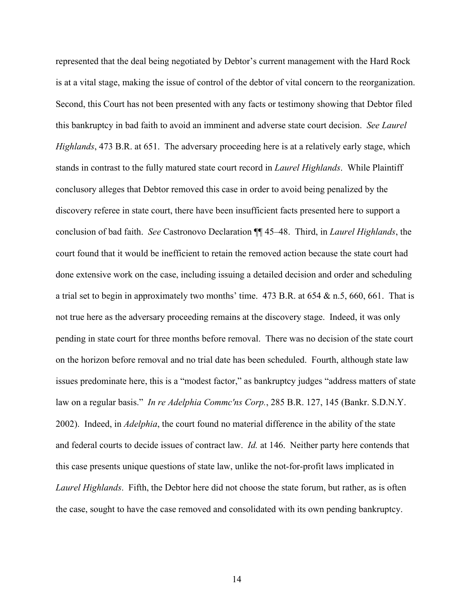represented that the deal being negotiated by Debtor's current management with the Hard Rock is at a vital stage, making the issue of control of the debtor of vital concern to the reorganization. Second, this Court has not been presented with any facts or testimony showing that Debtor filed this bankruptcy in bad faith to avoid an imminent and adverse state court decision. *See Laurel Highlands*, 473 B.R. at 651. The adversary proceeding here is at a relatively early stage, which stands in contrast to the fully matured state court record in *Laurel Highlands*. While Plaintiff conclusory alleges that Debtor removed this case in order to avoid being penalized by the discovery referee in state court, there have been insufficient facts presented here to support a conclusion of bad faith. *See* Castronovo Declaration ¶¶ 45–48. Third, in *Laurel Highlands*, the court found that it would be inefficient to retain the removed action because the state court had done extensive work on the case, including issuing a detailed decision and order and scheduling a trial set to begin in approximately two months' time. 473 B.R. at 654 & n.5, 660, 661. That is not true here as the adversary proceeding remains at the discovery stage. Indeed, it was only pending in state court for three months before removal. There was no decision of the state court on the horizon before removal and no trial date has been scheduled. Fourth, although state law issues predominate here, this is a "modest factor," as bankruptcy judges "address matters of state law on a regular basis." *In re Adelphia Commc'ns Corp.*, 285 B.R. 127, 145 (Bankr. S.D.N.Y. 2002). Indeed, in *Adelphia*, the court found no material difference in the ability of the state and federal courts to decide issues of contract law. *Id.* at 146. Neither party here contends that this case presents unique questions of state law, unlike the not-for-profit laws implicated in *Laurel Highlands*. Fifth, the Debtor here did not choose the state forum, but rather, as is often the case, sought to have the case removed and consolidated with its own pending bankruptcy.